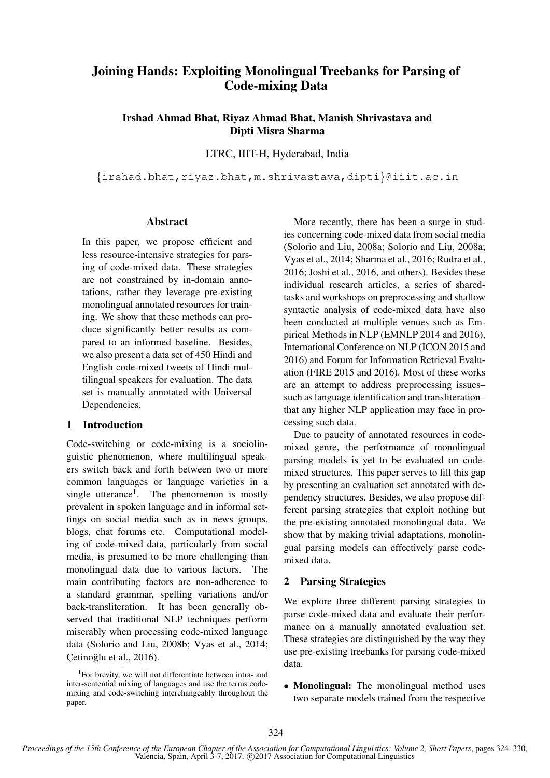# Joining Hands: Exploiting Monolingual Treebanks for Parsing of Code-mixing Data

Irshad Ahmad Bhat, Riyaz Ahmad Bhat, Manish Shrivastava and Dipti Misra Sharma

LTRC, IIIT-H, Hyderabad, India

{irshad.bhat,riyaz.bhat,m.shrivastava,dipti}@iiit.ac.in

#### Abstract

In this paper, we propose efficient and less resource-intensive strategies for parsing of code-mixed data. These strategies are not constrained by in-domain annotations, rather they leverage pre-existing monolingual annotated resources for training. We show that these methods can produce significantly better results as compared to an informed baseline. Besides, we also present a data set of 450 Hindi and English code-mixed tweets of Hindi multilingual speakers for evaluation. The data set is manually annotated with Universal Dependencies.

## 1 Introduction

Code-switching or code-mixing is a sociolinguistic phenomenon, where multilingual speakers switch back and forth between two or more common languages or language varieties in a single utterance<sup>1</sup>. The phenomenon is mostly prevalent in spoken language and in informal settings on social media such as in news groups, blogs, chat forums etc. Computational modeling of code-mixed data, particularly from social media, is presumed to be more challenging than monolingual data due to various factors. The main contributing factors are non-adherence to a standard grammar, spelling variations and/or back-transliteration. It has been generally observed that traditional NLP techniques perform miserably when processing code-mixed language data (Solorio and Liu, 2008b; Vyas et al., 2014; Cetinoğlu et al., 2016).

More recently, there has been a surge in studies concerning code-mixed data from social media (Solorio and Liu, 2008a; Solorio and Liu, 2008a; Vyas et al., 2014; Sharma et al., 2016; Rudra et al., 2016; Joshi et al., 2016, and others). Besides these individual research articles, a series of sharedtasks and workshops on preprocessing and shallow syntactic analysis of code-mixed data have also been conducted at multiple venues such as Empirical Methods in NLP (EMNLP 2014 and 2016), International Conference on NLP (ICON 2015 and 2016) and Forum for Information Retrieval Evaluation (FIRE 2015 and 2016). Most of these works are an attempt to address preprocessing issues– such as language identification and transliteration– that any higher NLP application may face in processing such data.

Due to paucity of annotated resources in codemixed genre, the performance of monolingual parsing models is yet to be evaluated on codemixed structures. This paper serves to fill this gap by presenting an evaluation set annotated with dependency structures. Besides, we also propose different parsing strategies that exploit nothing but the pre-existing annotated monolingual data. We show that by making trivial adaptations, monolingual parsing models can effectively parse codemixed data.

## 2 Parsing Strategies

We explore three different parsing strategies to parse code-mixed data and evaluate their performance on a manually annotated evaluation set. These strategies are distinguished by the way they use pre-existing treebanks for parsing code-mixed data.

• Monolingual: The monolingual method uses two separate models trained from the respective

<sup>&</sup>lt;sup>1</sup>For brevity, we will not differentiate between intra- and inter-sentential mixing of languages and use the terms codemixing and code-switching interchangeably throughout the paper.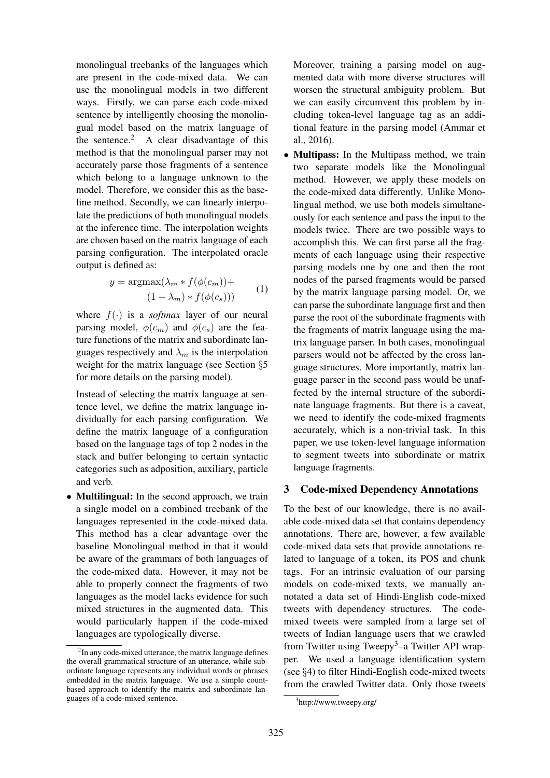monolingual treebanks of the languages which are present in the code-mixed data. We can use the monolingual models in two different ways. Firstly, we can parse each code-mixed sentence by intelligently choosing the monolingual model based on the matrix language of the sentence.<sup>2</sup> A clear disadvantage of this method is that the monolingual parser may not accurately parse those fragments of a sentence which belong to a language unknown to the model. Therefore, we consider this as the baseline method. Secondly, we can linearly interpolate the predictions of both monolingual models at the inference time. The interpolation weights are chosen based on the matrix language of each parsing configuration. The interpolated oracle output is defined as:

$$
y = \operatorname{argmax}(\lambda_m * f(\phi(c_m)) +
$$
  

$$
(1 - \lambda_m) * f(\phi(c_s)))
$$
 (1)

where  $f(\cdot)$  is a *softmax* layer of our neural parsing model,  $\phi(c_m)$  and  $\phi(c_s)$  are the feature functions of the matrix and subordinate languages respectively and  $\lambda_m$  is the interpolation weight for the matrix language (see Section §5 for more details on the parsing model).

Instead of selecting the matrix language at sentence level, we define the matrix language individually for each parsing configuration. We define the matrix language of a configuration based on the language tags of top 2 nodes in the stack and buffer belonging to certain syntactic categories such as adposition, auxiliary, particle and verb.

• Multilingual: In the second approach, we train a single model on a combined treebank of the languages represented in the code-mixed data. This method has a clear advantage over the baseline Monolingual method in that it would be aware of the grammars of both languages of the code-mixed data. However, it may not be able to properly connect the fragments of two languages as the model lacks evidence for such mixed structures in the augmented data. This would particularly happen if the code-mixed languages are typologically diverse.

Moreover, training a parsing model on augmented data with more diverse structures will worsen the structural ambiguity problem. But we can easily circumvent this problem by including token-level language tag as an additional feature in the parsing model (Ammar et al., 2016).

• Multipass: In the Multipass method, we train two separate models like the Monolingual method. However, we apply these models on the code-mixed data differently. Unlike Monolingual method, we use both models simultaneously for each sentence and pass the input to the models twice. There are two possible ways to accomplish this. We can first parse all the fragments of each language using their respective parsing models one by one and then the root nodes of the parsed fragments would be parsed by the matrix language parsing model. Or, we can parse the subordinate language first and then parse the root of the subordinate fragments with the fragments of matrix language using the matrix language parser. In both cases, monolingual parsers would not be affected by the cross language structures. More importantly, matrix language parser in the second pass would be unaffected by the internal structure of the subordinate language fragments. But there is a caveat, we need to identify the code-mixed fragments accurately, which is a non-trivial task. In this paper, we use token-level language information to segment tweets into subordinate or matrix language fragments.

#### 3 Code-mixed Dependency Annotations

To the best of our knowledge, there is no available code-mixed data set that contains dependency annotations. There are, however, a few available code-mixed data sets that provide annotations related to language of a token, its POS and chunk tags. For an intrinsic evaluation of our parsing models on code-mixed texts, we manually annotated a data set of Hindi-English code-mixed tweets with dependency structures. The codemixed tweets were sampled from a large set of tweets of Indian language users that we crawled from Twitter using Tweepy<sup>3</sup>–a Twitter API wrapper. We used a language identification system (see §4) to filter Hindi-English code-mixed tweets from the crawled Twitter data. Only those tweets

<sup>&</sup>lt;sup>2</sup>In any code-mixed utterance, the matrix language defines the overall grammatical structure of an utterance, while subordinate language represents any individual words or phrases embedded in the matrix language. We use a simple countbased approach to identify the matrix and subordinate languages of a code-mixed sentence.

<sup>3</sup> http://www.tweepy.org/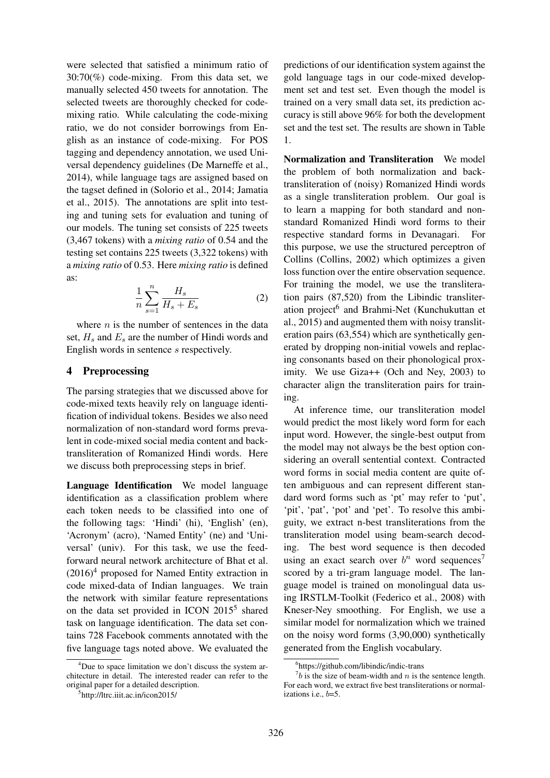were selected that satisfied a minimum ratio of 30:70(%) code-mixing. From this data set, we manually selected 450 tweets for annotation. The selected tweets are thoroughly checked for codemixing ratio. While calculating the code-mixing ratio, we do not consider borrowings from English as an instance of code-mixing. For POS tagging and dependency annotation, we used Universal dependency guidelines (De Marneffe et al., 2014), while language tags are assigned based on the tagset defined in (Solorio et al., 2014; Jamatia et al., 2015). The annotations are split into testing and tuning sets for evaluation and tuning of our models. The tuning set consists of 225 tweets (3,467 tokens) with a *mixing ratio* of 0.54 and the testing set contains 225 tweets (3,322 tokens) with a *mixing ratio* of 0.53. Here *mixing ratio* is defined as:

$$
\frac{1}{n}\sum_{s=1}^{n}\frac{H_s}{H_s+E_s}
$$
 (2)

where  $n$  is the number of sentences in the data set,  $H_s$  and  $E_s$  are the number of Hindi words and English words in sentence s respectively.

## 4 Preprocessing

The parsing strategies that we discussed above for code-mixed texts heavily rely on language identification of individual tokens. Besides we also need normalization of non-standard word forms prevalent in code-mixed social media content and backtransliteration of Romanized Hindi words. Here we discuss both preprocessing steps in brief.

Language Identification We model language identification as a classification problem where each token needs to be classified into one of the following tags: 'Hindi' (hi), 'English' (en), 'Acronym' (acro), 'Named Entity' (ne) and 'Universal' (univ). For this task, we use the feedforward neural network architecture of Bhat et al.  $(2016)^4$  proposed for Named Entity extraction in code mixed-data of Indian languages. We train the network with similar feature representations on the data set provided in ICON 2015<sup>5</sup> shared task on language identification. The data set contains 728 Facebook comments annotated with the five language tags noted above. We evaluated the predictions of our identification system against the gold language tags in our code-mixed development set and test set. Even though the model is trained on a very small data set, its prediction accuracy is still above 96% for both the development set and the test set. The results are shown in Table 1.

Normalization and Transliteration We model the problem of both normalization and backtransliteration of (noisy) Romanized Hindi words as a single transliteration problem. Our goal is to learn a mapping for both standard and nonstandard Romanized Hindi word forms to their respective standard forms in Devanagari. For this purpose, we use the structured perceptron of Collins (Collins, 2002) which optimizes a given loss function over the entire observation sequence. For training the model, we use the transliteration pairs (87,520) from the Libindic transliteration project<sup>6</sup> and Brahmi-Net (Kunchukuttan et al., 2015) and augmented them with noisy transliteration pairs (63,554) which are synthetically generated by dropping non-initial vowels and replacing consonants based on their phonological proximity. We use Giza++ (Och and Ney, 2003) to character align the transliteration pairs for training.

At inference time, our transliteration model would predict the most likely word form for each input word. However, the single-best output from the model may not always be the best option considering an overall sentential context. Contracted word forms in social media content are quite often ambiguous and can represent different standard word forms such as 'pt' may refer to 'put', 'pit', 'pat', 'pot' and 'pet'. To resolve this ambiguity, we extract n-best transliterations from the transliteration model using beam-search decoding. The best word sequence is then decoded using an exact search over  $b^n$  word sequences<sup>7</sup> scored by a tri-gram language model. The language model is trained on monolingual data using IRSTLM-Toolkit (Federico et al., 2008) with Kneser-Ney smoothing. For English, we use a similar model for normalization which we trained on the noisy word forms (3,90,000) synthetically generated from the English vocabulary.

<sup>&</sup>lt;sup>4</sup>Due to space limitation we don't discuss the system architecture in detail. The interested reader can refer to the original paper for a detailed description.

<sup>5</sup> http://ltrc.iiit.ac.in/icon2015/

<sup>6</sup> https://github.com/libindic/indic-trans

 $7b$  is the size of beam-width and n is the sentence length. For each word, we extract five best transliterations or normalizations i.e., b=5.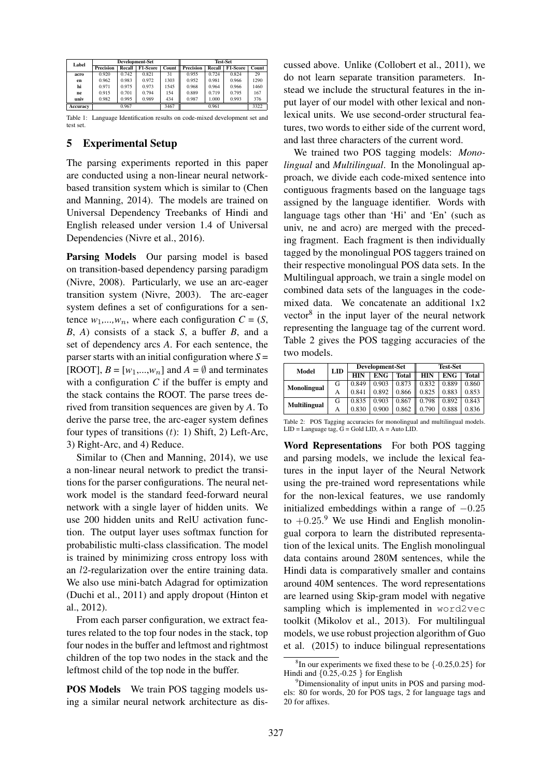| Label    |                  |        | <b>Development-Set</b> |       | <b>Test-Set</b>  |        |          |       |  |  |
|----------|------------------|--------|------------------------|-------|------------------|--------|----------|-------|--|--|
|          | <b>Precision</b> | Recall | F1-Score               | Count | <b>Precision</b> | Recall | F1-Score | Count |  |  |
| acro     | 0.920            | 0.742  | 0.821                  | 31    | 0.955            | 0.724  | 0.824    | 29    |  |  |
| en       | 0.962            | 0.983  | 0.972                  | 1303  | 0.952            | 0.981  | 0.966    | 1290  |  |  |
| hi       | 0.971            | 0.975  | 0.973                  | 1545  | 0.968            | 0.964  | 0.966    | 1460  |  |  |
| ne       | 0.915            | 0.701  | 0.794                  | 154   | 0.889            | 0.719  | 0.795    | 167   |  |  |
| univ     | 0.982            | 0.995  | 0.989                  | 434   | 0.987            | 1.000  | 0.993    | 376   |  |  |
| Accuracy |                  | 0.967  |                        | 3467  |                  | 0.961  |          | 3322  |  |  |

Table 1: Language Identification results on code-mixed development set and test set.

## 5 Experimental Setup

The parsing experiments reported in this paper are conducted using a non-linear neural networkbased transition system which is similar to (Chen and Manning, 2014). The models are trained on Universal Dependency Treebanks of Hindi and English released under version 1.4 of Universal Dependencies (Nivre et al., 2016).

Parsing Models Our parsing model is based on transition-based dependency parsing paradigm (Nivre, 2008). Particularly, we use an arc-eager transition system (Nivre, 2003). The arc-eager system defines a set of configurations for a sentence  $w_1, \ldots, w_n$ , where each configuration  $C = (S, \mathcal{C})$ *B*, *A*) consists of a stack *S*, a buffer *B*, and a set of dependency arcs *A*. For each sentence, the parser starts with an initial configuration where  $S =$ [ROOT],  $B = [w_1,...,w_n]$  and  $A = \emptyset$  and terminates with a configuration *C* if the buffer is empty and the stack contains the ROOT. The parse trees derived from transition sequences are given by *A*. To derive the parse tree, the arc-eager system defines four types of transitions  $(t)$ : 1) Shift, 2) Left-Arc, 3) Right-Arc, and 4) Reduce.

Similar to (Chen and Manning, 2014), we use a non-linear neural network to predict the transitions for the parser configurations. The neural network model is the standard feed-forward neural network with a single layer of hidden units. We use 200 hidden units and RelU activation function. The output layer uses softmax function for probabilistic multi-class classification. The model is trained by minimizing cross entropy loss with an l2-regularization over the entire training data. We also use mini-batch Adagrad for optimization (Duchi et al., 2011) and apply dropout (Hinton et al., 2012).

From each parser configuration, we extract features related to the top four nodes in the stack, top four nodes in the buffer and leftmost and rightmost children of the top two nodes in the stack and the leftmost child of the top node in the buffer.

**POS Models** We train POS tagging models using a similar neural network architecture as discussed above. Unlike (Collobert et al., 2011), we do not learn separate transition parameters. Instead we include the structural features in the input layer of our model with other lexical and nonlexical units. We use second-order structural features, two words to either side of the current word, and last three characters of the current word.

We trained two POS tagging models: *Monolingual* and *Multilingual*. In the Monolingual approach, we divide each code-mixed sentence into contiguous fragments based on the language tags assigned by the language identifier. Words with language tags other than 'Hi' and 'En' (such as univ, ne and acro) are merged with the preceding fragment. Each fragment is then individually tagged by the monolingual POS taggers trained on their respective monolingual POS data sets. In the Multilingual approach, we train a single model on combined data sets of the languages in the codemixed data. We concatenate an additional 1x2 vector $8$  in the input layer of the neural network representing the language tag of the current word. Table 2 gives the POS tagging accuracies of the two models.

| Model               | LID |            | <b>Development-Set</b> |              | <b>Test-Set</b> |            |              |  |
|---------------------|-----|------------|------------------------|--------------|-----------------|------------|--------------|--|
|                     |     | <b>HIN</b> | <b>ENG</b>             | <b>Total</b> | <b>HIN</b>      | <b>ENG</b> | <b>Total</b> |  |
| Monolingual         | G   | 0.849      | 0.903                  | 0.873        | 0.832           | 0.889      | 0.860        |  |
|                     | А   | 0.841      | 0.892                  | 0.866        | 0.825           | 0.883      | 0.853        |  |
| <b>Multilingual</b> | G   | 0.835      | 0.903                  | 0.867        | 0.798           | 0.892      | 0.843        |  |
|                     | А   | 0.830      | 0.900                  | 0.862        | 0.790           | 0.888      | 0.836        |  |

Table 2: POS Tagging accuracies for monolingual and multilingual models.  $LID = Language tag, G = Gold LID, A = Auto LID.$ 

Word Representations For both POS tagging and parsing models, we include the lexical features in the input layer of the Neural Network using the pre-trained word representations while for the non-lexical features, we use randomly initialized embeddings within a range of  $-0.25$ to  $+0.25$ .<sup>9</sup> We use Hindi and English monolingual corpora to learn the distributed representation of the lexical units. The English monolingual data contains around 280M sentences, while the Hindi data is comparatively smaller and contains around 40M sentences. The word representations are learned using Skip-gram model with negative sampling which is implemented in word2vec toolkit (Mikolov et al., 2013). For multilingual models, we use robust projection algorithm of Guo et al. (2015) to induce bilingual representations

 ${}^{8}$ In our experiments we fixed these to be  $\{-0.25, 0.25\}$  for Hindi and  $\{0.25, -0.25\}$  for English

<sup>9</sup>Dimensionality of input units in POS and parsing models: 80 for words, 20 for POS tags, 2 for language tags and 20 for affixes.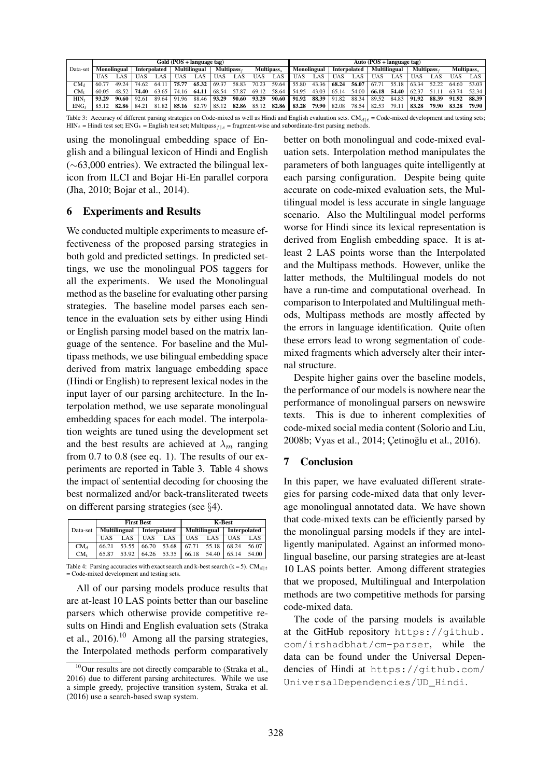|           | Gold (POS + language tag) |             |              |       |       |                     |                  | Auto $(POS + language tag)$ |            |       |                   |                |       |                     |       |                     |                  |       |            |       |
|-----------|---------------------------|-------------|--------------|-------|-------|---------------------|------------------|-----------------------------|------------|-------|-------------------|----------------|-------|---------------------|-------|---------------------|------------------|-------|------------|-------|
| Data-set  |                           | Monolingual | Interpolated |       |       | <b>Multilingual</b> | <b>Multipass</b> |                             | Multipass. |       | Monolingual       |                |       | <b>Interpolated</b> |       | <b>Multilingual</b> | <b>Multipass</b> |       | Multipass. |       |
|           | UAS                       | .AS         | UAS          | . AS  | UAS   | . AS                | UAS              | LAS.                        | <b>UAS</b> | LAS   | UAS               | $\triangle$ AS | UAS   | ∟AS -               | JAS   | LAS.                | UAS              | .AS   | (JAS       | LAS   |
| CMa       | 60.77                     | 49.24       | 74.62        | 64.11 | 75.77 | 65.32               | 69.37            | 58.83                       | 70.23      | 59.64 | $\parallel$ 55.80 | 43.36          | 68.24 | 56.07               | 67.71 | 55.18               | 63.34            | 52.22 |            | 53.03 |
| CM+       | 60.05                     | 48.52       | 74.40        | 63.65 | 74.16 | 64.11               | 68.54            | 57.87                       | 69.12      | 58.64 | 54.95             | 43.03          | 65.14 | 54.00               | 66.18 | 54.40               | 62.37            | 51 11 | 63.74      | 52.34 |
| HIN,      | 93.29                     | 90.60       | 92.61        | 89.64 | 91.96 | 88.46               | 93.29            | 90.60                       | 93.29      | 90.60 | 91.92             | 88.39          | 91.82 | 88.34               | 89.52 | 84.83               | 91.92            | 88.39 | 91.92      | 88.39 |
| $ENG_{t}$ |                           | 82.86       | 84.21        | 81.82 | 85.16 | 82.79               | 85.12            | 82.86                       | 85.12      | 82.86 | 83.28             | 79.90          | 82.08 | 78.54               | 82.53 | 79.11               | 83.28            | 79.90 | 83.28      | 79.90 |

Table 3: Accuracy of different parsing strategies on Code-mixed as well as Hindi and English evaluation sets.  $CM_{d|t} = C$ ode-mixed development and testing sets;  $HIN_t = Hindi$  test set;  $ENG_t =$  English test set; Multipass  $f|s$  = fragment-wise and subordinate-first parsing methods.

using the monolingual embedding space of English and a bilingual lexicon of Hindi and English (∼63,000 entries). We extracted the bilingual lexicon from ILCI and Bojar Hi-En parallel corpora (Jha, 2010; Bojar et al., 2014).

# 6 Experiments and Results

We conducted multiple experiments to measure effectiveness of the proposed parsing strategies in both gold and predicted settings. In predicted settings, we use the monolingual POS taggers for all the experiments. We used the Monolingual method as the baseline for evaluating other parsing strategies. The baseline model parses each sentence in the evaluation sets by either using Hindi or English parsing model based on the matrix language of the sentence. For baseline and the Multipass methods, we use bilingual embedding space derived from matrix language embedding space (Hindi or English) to represent lexical nodes in the input layer of our parsing architecture. In the Interpolation method, we use separate monolingual embedding spaces for each model. The interpolation weights are tuned using the development set and the best results are achieved at  $\lambda_m$  ranging from 0.7 to 0.8 (see eq. 1). The results of our experiments are reported in Table 3. Table 4 shows the impact of sentential decoding for choosing the best normalized and/or back-transliterated tweets on different parsing strategies (see §4).

|                 |            |              | <b>First Best</b> |              | <b>K-Best</b> |              |              |       |  |  |
|-----------------|------------|--------------|-------------------|--------------|---------------|--------------|--------------|-------|--|--|
| Data-set        |            | Multilingual |                   | Interpolated |               | Multilingual | Interpolated |       |  |  |
|                 | <b>UAS</b> | LAS          | <b>UAS</b>        | LAS.         | <b>UAS</b>    | LAS          | <b>UAS</b>   | LAS   |  |  |
| $CM_d$          | 66.21      | 53.55        | 66.70             |              | 53.68 67.71   | 55.18        | 68.24        | 56.07 |  |  |
| CM <sub>t</sub> | 65.87      | 53.92        | 64.26             | 53.35        | 66.18         | 54.40        | 65.14        | 54.00 |  |  |

Table 4: Parsing accuracies with exact search and k-best search (k = 5). CM $_{d|t}$ = Code-mixed development and testing sets.

All of our parsing models produce results that are at-least 10 LAS points better than our baseline parsers which otherwise provide competitive results on Hindi and English evaluation sets (Straka et al.,  $2016$ .<sup>10</sup> Among all the parsing strategies, the Interpolated methods perform comparatively better on both monolingual and code-mixed evaluation sets. Interpolation method manipulates the parameters of both languages quite intelligently at each parsing configuration. Despite being quite accurate on code-mixed evaluation sets, the Multilingual model is less accurate in single language scenario. Also the Multilingual model performs worse for Hindi since its lexical representation is derived from English embedding space. It is atleast 2 LAS points worse than the Interpolated and the Multipass methods. However, unlike the latter methods, the Multilingual models do not have a run-time and computational overhead. In comparison to Interpolated and Multilingual methods, Multipass methods are mostly affected by the errors in language identification. Quite often these errors lead to wrong segmentation of codemixed fragments which adversely alter their internal structure.

Despite higher gains over the baseline models, the performance of our models is nowhere near the performance of monolingual parsers on newswire texts. This is due to inherent complexities of code-mixed social media content (Solorio and Liu, 2008b; Vyas et al., 2014; Cetinoğlu et al., 2016).

# 7 Conclusion

In this paper, we have evaluated different strategies for parsing code-mixed data that only leverage monolingual annotated data. We have shown that code-mixed texts can be efficiently parsed by the monolingual parsing models if they are intelligently manipulated. Against an informed monolingual baseline, our parsing strategies are at-least 10 LAS points better. Among different strategies that we proposed, Multilingual and Interpolation methods are two competitive methods for parsing code-mixed data.

The code of the parsing models is available at the GitHub repository https://github. com/irshadbhat/cm-parser, while the data can be found under the Universal Dependencies of Hindi at https://github.com/ UniversalDependencies/UD\_Hindi.

 $10$ Our results are not directly comparable to (Straka et al., 2016) due to different parsing architectures. While we use a simple greedy, projective transition system, Straka et al. (2016) use a search-based swap system.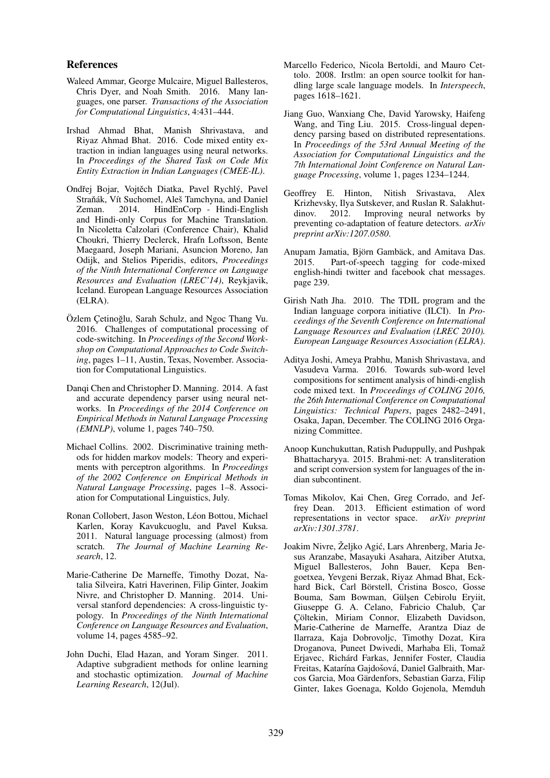#### References

- Waleed Ammar, George Mulcaire, Miguel Ballesteros, Chris Dyer, and Noah Smith. 2016. Many languages, one parser. *Transactions of the Association for Computational Linguistics*, 4:431–444.
- Irshad Ahmad Bhat, Manish Shrivastava, and Riyaz Ahmad Bhat. 2016. Code mixed entity extraction in indian languages using neural networks. In *Proceedings of the Shared Task on Code Mix Entity Extraction in Indian Languages (CMEE-IL)*.
- Ondřej Bojar, Vojtěch Diatka, Pavel Rychlý, Pavel Straňák, Vít Suchomel, Aleš Tamchyna, and Daniel Zeman. 2014. HindEnCorp - Hindi-English and Hindi-only Corpus for Machine Translation. In Nicoletta Calzolari (Conference Chair), Khalid Choukri, Thierry Declerck, Hrafn Loftsson, Bente Maegaard, Joseph Mariani, Asuncion Moreno, Jan Odijk, and Stelios Piperidis, editors, *Proceedings of the Ninth International Conference on Language Resources and Evaluation (LREC'14)*, Reykjavik, Iceland. European Language Resources Association (ELRA).
- Özlem Cetinoğlu, Sarah Schulz, and Ngoc Thang Vu. 2016. Challenges of computational processing of code-switching. In *Proceedings of the Second Workshop on Computational Approaches to Code Switching*, pages 1–11, Austin, Texas, November. Association for Computational Linguistics.
- Danqi Chen and Christopher D. Manning. 2014. A fast and accurate dependency parser using neural networks. In *Proceedings of the 2014 Conference on Empirical Methods in Natural Language Processing (EMNLP)*, volume 1, pages 740–750.
- Michael Collins. 2002. Discriminative training methods for hidden markov models: Theory and experiments with perceptron algorithms. In *Proceedings of the 2002 Conference on Empirical Methods in Natural Language Processing*, pages 1–8. Association for Computational Linguistics, July.
- Ronan Collobert, Jason Weston, Léon Bottou, Michael Karlen, Koray Kavukcuoglu, and Pavel Kuksa. 2011. Natural language processing (almost) from scratch. *The Journal of Machine Learning Research*, 12.
- Marie-Catherine De Marneffe, Timothy Dozat, Natalia Silveira, Katri Haverinen, Filip Ginter, Joakim Nivre, and Christopher D. Manning. 2014. Universal stanford dependencies: A cross-linguistic typology. In *Proceedings of the Ninth International Conference on Language Resources and Evaluation*, volume 14, pages 4585–92.
- John Duchi, Elad Hazan, and Yoram Singer. 2011. Adaptive subgradient methods for online learning and stochastic optimization. *Journal of Machine Learning Research*, 12(Jul).
- Marcello Federico, Nicola Bertoldi, and Mauro Cettolo. 2008. Irstlm: an open source toolkit for handling large scale language models. In *Interspeech*, pages 1618–1621.
- Jiang Guo, Wanxiang Che, David Yarowsky, Haifeng Wang, and Ting Liu. 2015. Cross-lingual dependency parsing based on distributed representations. In *Proceedings of the 53rd Annual Meeting of the Association for Computational Linguistics and the 7th International Joint Conference on Natural Language Processing*, volume 1, pages 1234–1244.
- Geoffrey E. Hinton, Nitish Srivastava, Alex Krizhevsky, Ilya Sutskever, and Ruslan R. Salakhut-<br>dinov. 2012. Improving neural networks by Improving neural networks by preventing co-adaptation of feature detectors. *arXiv preprint arXiv:1207.0580*.
- Anupam Jamatia, Björn Gambäck, and Amitava Das. 2015. Part-of-speech tagging for code-mixed english-hindi twitter and facebook chat messages. page 239.
- Girish Nath Jha. 2010. The TDIL program and the Indian language corpora initiative (ILCI). In *Proceedings of the Seventh Conference on International Language Resources and Evaluation (LREC 2010). European Language Resources Association (ELRA)*.
- Aditya Joshi, Ameya Prabhu, Manish Shrivastava, and Vasudeva Varma. 2016. Towards sub-word level compositions for sentiment analysis of hindi-english code mixed text. In *Proceedings of COLING 2016, the 26th International Conference on Computational Linguistics: Technical Papers*, pages 2482–2491, Osaka, Japan, December. The COLING 2016 Organizing Committee.
- Anoop Kunchukuttan, Ratish Puduppully, and Pushpak Bhattacharyya. 2015. Brahmi-net: A transliteration and script conversion system for languages of the indian subcontinent.
- Tomas Mikolov, Kai Chen, Greg Corrado, and Jeffrey Dean. 2013. Efficient estimation of word representations in vector space. *arXiv preprint arXiv:1301.3781*.
- Joakim Nivre, Željko Agić, Lars Ahrenberg, Maria Jesus Aranzabe, Masayuki Asahara, Aitziber Atutxa, Miguel Ballesteros, John Bauer, Kepa Bengoetxea, Yevgeni Berzak, Riyaz Ahmad Bhat, Eckhard Bick, Carl Börstell, Cristina Bosco, Gosse Bouma, Sam Bowman, Gülşen Cebirolu Eryiit, Giuseppe G. A. Celano, Fabricio Chalub, Çar Çöltekin, Miriam Connor, Elizabeth Davidson, Marie-Catherine de Marneffe, Arantza Diaz de Ilarraza, Kaja Dobrovoljc, Timothy Dozat, Kira Droganova, Puneet Dwivedi, Marhaba Eli, Tomaž Erjavec, Richárd Farkas, Jennifer Foster, Claudia Freitas, Katarína Gajdošová, Daniel Galbraith, Marcos Garcia, Moa Gärdenfors, Sebastian Garza, Filip Ginter, Iakes Goenaga, Koldo Gojenola, Memduh